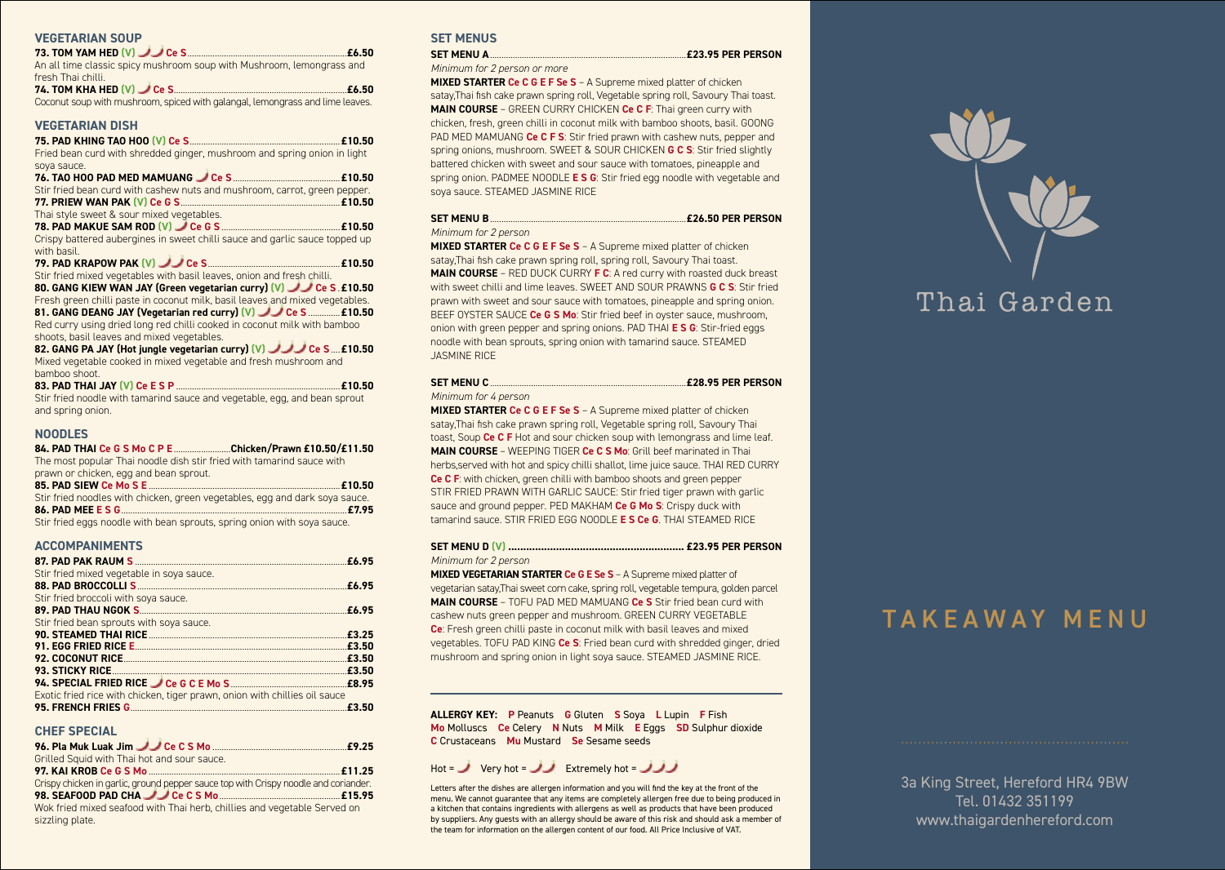#### **VEGETARIAN SOUP**

| An all time classic spicy mushroom soup with Mushroom, lemongrass and         |  |
|-------------------------------------------------------------------------------|--|
| fresh Thai chilli.                                                            |  |
| 74. TOM KHA HED (V) Ce S. Committee Committee Committee Co.50                 |  |
| Coconut soup with mushroom, spiced with galangal, lemongrass and lime leaves. |  |

## **VEGETARIAN DISH**

**75. PAD KHING TAO HOO (V) Ce S**..................................................................**£10.50** Fried bean curd with shredded ginger, mushroom and spring onion in light soya sauce.

| Stir fried bean curd with cashew nuts and mushroom, carrot, green pepper.                  |
|--------------------------------------------------------------------------------------------|
|                                                                                            |
| Thai style sweet & sour mixed vegetables.                                                  |
|                                                                                            |
| Crispy battered aubergines in sweet chilli sauce and garlic sauce topped up<br>with basil. |
|                                                                                            |
| Stir fried mixed vegetables with basil leaves, onion and fresh chilli.                     |
| 80. GANG KIEW WAN JAY (Green vegetarian curry) (V) Ce S. £10.50                            |
| Fresh green chilli paste in coconut milk, basil leaves and mixed vegetables.               |
| 81. GANG DEANG JAY (Vegetarian red curry) (V) UU Ce S  £10.50                              |
| Red curry using dried long red chilli cooked in coconut milk with bamboo                   |

shoots, basil leaves and mixed vegetables.

**82. GANG PA JAY (Hot jungle vegetarian curry) (V) Ce S** ....**£10.50** Mixed vegetable cooked in mixed vegetable and fresh mushroom and bamboo shoot.

**83. PAD THAI JAY (V) Ce E S P** ........................................................................**£10.50** Stir fried noodle with tamarind sauce and vegetable, egg, and bean sprout and spring onion.

#### **NOODLES**

**84. PAD THAI Ce G S Mo C P E** .........................**Chicken/Prawn £10.50/£11.50** The most popular Thai noodle dish stir fried with tamarind sauce with prawn or chicken, egg and bean sprout.

| pravition chickers, edd and beam sprout.                                    |  |
|-----------------------------------------------------------------------------|--|
|                                                                             |  |
| Stir fried noodles with chicken, green vegetables, egg and dark soya sauce. |  |
|                                                                             |  |
| Stir fried eggs noodle with bean sprouts, spring onion with soya sauce.     |  |

#### **ACCOMPANIMENTS**

| Stir fried mixed vegetable in soya sauce.                                  |       |
|----------------------------------------------------------------------------|-------|
|                                                                            |       |
| Stir fried broccoli with soya sauce.                                       |       |
|                                                                            |       |
| Stir fried bean sprouts with soya sauce.                                   |       |
|                                                                            |       |
|                                                                            |       |
|                                                                            |       |
|                                                                            |       |
|                                                                            |       |
| Exotic fried rice with chicken, tiger prawn, onion with chillies oil sauce |       |
|                                                                            | £3.50 |

#### **CHEF SPECIAL**

| Grilled Squid with Thai hot and sour sauce.                                         |
|-------------------------------------------------------------------------------------|
|                                                                                     |
| Crispy chicken in garlic, ground pepper sauce top with Crispy noodle and coriander. |
|                                                                                     |
| Wok fried mixed seafood with Thai herb, chillies and vegetable Served on            |

sizzling plate.

# **SET MENUS**

**SET MENU A**......................................................................................**£23.95 PER PERSON**  *Minimum for 2 person or more*

**MIXED STARTER Ce C G E F Se S** – A Supreme mixed platter of chicken satay,Thai fish cake prawn spring roll, Vegetable spring roll, Savoury Thai toast. **MAIN COURSE** – GREEN CURRY CHICKEN **Ce C F**: Thai green curry with chicken, fresh, green chilli in coconut milk with bamboo shoots, basil. GOONG PAD MED MAMUANG **Ce C F S**: Stir fried prawn with cashew nuts, pepper and spring onions, mushroom. SWEET & SOUR CHICKEN **G C S**: Stir fried slightly battered chicken with sweet and sour sauce with tomatoes, pineapple and spring onion. PADMEE NOODLE **E S G**: Stir fried egg noodle with vegetable and soya sauce. STEAMED JASMINE RICE

#### **SET MENU B**......................................................................................**£26.50 PER PERSON** *Minimum for 2 person*

**MIXED STARTER Ce C G E F Se S** – A Supreme mixed platter of chicken satay,Thai fish cake prawn spring roll, spring roll, Savoury Thai toast. **MAIN COURSE – RED DUCK CURRY <b>F C**: A red curry with roasted duck breast with sweet chilli and lime leaves. SWEET AND SOUR PRAWNS **G C S**: Stir fried prawn with sweet and sour sauce with tomatoes, pineapple and spring onion. BEEF OYSTER SAUCE **Ce G S Mo**: Stir fried beef in oyster sauce, mushroom, onion with green pepper and spring onions. PAD THAI **E S G**: Stir-fried eggs noodle with bean sprouts, spring onion with tamarind sauce. STEAMED JASMINE RICE

#### **SET MENU C**......................................................................................**£28.95 PER PERSON**  *Minimum for 4 person*

**MIXED STARTER Ce C G E F Se S** – A Supreme mixed platter of chicken satay,Thai fish cake prawn spring roll, Vegetable spring roll, Savoury Thai toast, Soup **Ce C F** Hot and sour chicken soup with lemongrass and lime leaf. **MAIN COURSE** – WEEPING TIGER **Ce C S Mo**: Grill beef marinated in Thai herbs,served with hot and spicy chilli shallot, lime juice sauce. THAI RED CURRY **Ce C F**: with chicken, green chilli with bamboo shoots and green pepper STIR FRIED PRAWN WITH GARLIC SAUCE: Stir fried tiger prawn with garlic sauce and ground pepper. PED MAKHAM **Ce G Mo S**: Crispy duck with tamarind sauce. STIR FRIED EGG NOODLE **E S Ce G**. THAI STEAMED RICE

# **SET MENU D (V) ........................................................... £23.95 PER PERSON**  *Minimum for 2 person*

**MIXED VEGETARIAN STARTER Ce G E Se S** – A Supreme mixed platter of vegetarian satay,Thai sweet corn cake, spring roll, vegetable tempura, golden parcel **MAIN COURSE** – TOFU PAD MED MAMUANG **Ce S** Stir fried bean curd with cashew nuts green pepper and mushroom. GREEN CURRY VEGETABLE **Ce**: Fresh green chilli paste in coconut milk with basil leaves and mixed vegetables. TOFU PAD KING **Ce S**: Fried bean curd with shredded ginger, dried mushroom and spring onion in light soya sauce. STEAMED JASMINE RICE.

**ALLERGY KEY: P** Peanuts **G** Gluten **S** Soya **L** Lupin **F** Fish **Mo** Molluscs **Ce** Celery **N** Nuts **M** Milk **E** Eggs **SD** Sulphur dioxide **C** Crustaceans **Mu** Mustard **Se** Sesame seeds

# Hot =  $\sqrt{ }$  Very hot =  $\sqrt{ }$  Extremely hot =  $\sqrt{ }$

Letters after the dishes are allergen information and you will find the key at the front of the menu. We cannot guarantee that any items are completely allergen free due to being produced in a kitchen that contains ingredients with allergens as well as products that have been produced by suppliers. Any guests with an allergy should be aware of this risk and should ask a member of the team for information on the allergen content of our food. All Price Inclusive of VAT.

# Thai Garden

# TAKEAWAY MENU

3a King Street, Hereford HR4 9BW Tel. 01432 351199 www.thaigardenhereford.com